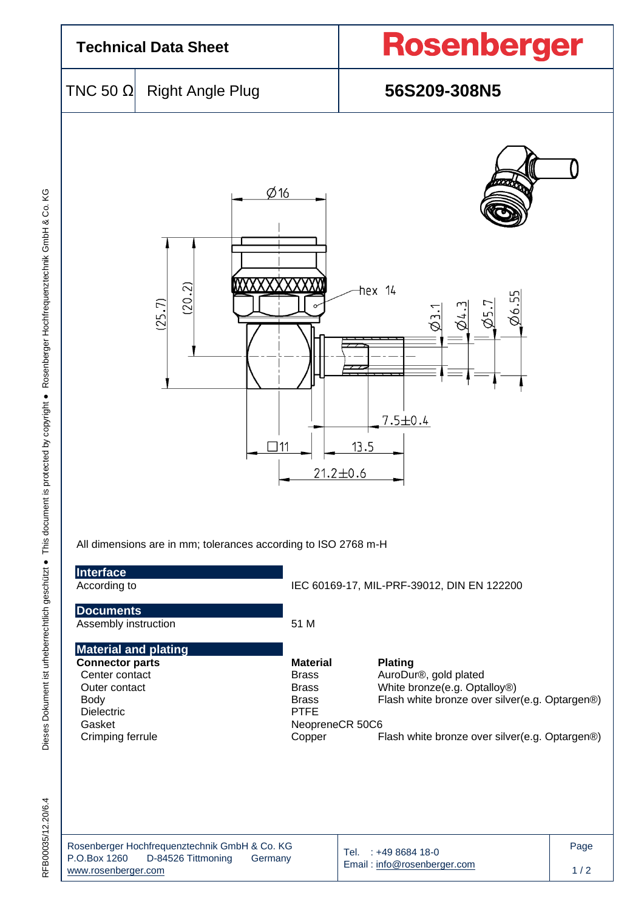